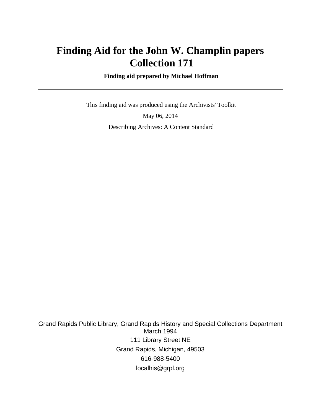# **Finding Aid for the John W. Champlin papers Collection 171**

 **Finding aid prepared by Michael Hoffman**

 This finding aid was produced using the Archivists' Toolkit May 06, 2014 Describing Archives: A Content Standard

Grand Rapids Public Library, Grand Rapids History and Special Collections Department March 1994 111 Library Street NE Grand Rapids, Michigan, 49503 616-988-5400 localhis@grpl.org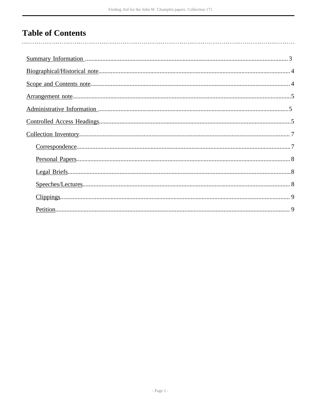# **Table of Contents**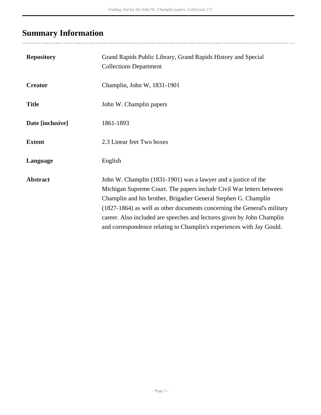# <span id="page-2-0"></span>**Summary Information**

| <b>Repository</b> | Grand Rapids Public Library, Grand Rapids History and Special<br><b>Collections Department</b>                                                                                                                                                                                                                                                                                                                                           |
|-------------------|------------------------------------------------------------------------------------------------------------------------------------------------------------------------------------------------------------------------------------------------------------------------------------------------------------------------------------------------------------------------------------------------------------------------------------------|
| <b>Creator</b>    | Champlin, John W, 1831-1901                                                                                                                                                                                                                                                                                                                                                                                                              |
| <b>Title</b>      | John W. Champlin papers                                                                                                                                                                                                                                                                                                                                                                                                                  |
| Date [inclusive]  | 1861-1893                                                                                                                                                                                                                                                                                                                                                                                                                                |
| <b>Extent</b>     | 2.3 Linear feet Two boxes                                                                                                                                                                                                                                                                                                                                                                                                                |
| Language          | English                                                                                                                                                                                                                                                                                                                                                                                                                                  |
| <b>Abstract</b>   | John W. Champlin (1831-1901) was a lawyer and a justice of the<br>Michigan Supreme Court. The papers include Civil War letters between<br>Champlin and his brother, Brigadier General Stephen G. Champlin<br>(1827-1864) as well as other documents concerning the General's military<br>career. Also included are speeches and lectures given by John Champlin<br>and correspondence relating to Champlin's experiences with Jay Gould. |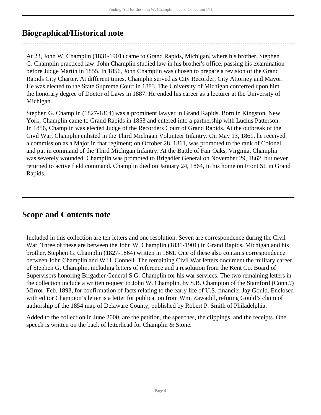## <span id="page-3-0"></span>**Biographical/Historical note**

At 23, John W. Champlin (1831-1901) came to Grand Rapids, Michigan, where his brother, Stephen G. Champlin practiced law. John Champlin studied law in his brother's office, passing his examination before Judge Martin in 1855. In 1856, John Champlin was chosen to prepare a revision of the Grand Rapids City Charter. At different times, Champlin served as City Recorder, City Attorney and Mayor. He was elected to the State Supreme Court in 1883. The University of Michigan conferred upon him the honorary degree of Doctor of Laws in 1887. He ended his career as a lecturer at the University of Michigan.

Stephen G. Champlin (1827-1864) was a prominent lawyer in Grand Rapids. Born in Kingston, New York, Champlin came to Grand Rapids in 1853 and entered into a partnership with Lucius Patterson. In 1856, Champlin was elected Judge of the Recorders Court of Grand Rapids. At the outbreak of the Civil War, Champlin enlisted in the Third Michigan Volunteer Infantry. On May 13, 1861, he received a commission as a Major in that regiment; on October 28, 1861, was promoted to the rank of Colonel and put in command of the Third Michigan Infantry. At the Battle of Fair Oaks, Virginia, Champlin was severely wounded. Champlin was promoted to Brigadier General on November 29, 1862, but never returned to active field command. Champlin died on January 24, 1864, in his home on Front St. in Grand Rapids.

## <span id="page-3-1"></span>**Scope and Contents note**

Included in this collection are ten letters and one resolution. Seven are correspondence during the Civil War. Three of these are between the John W. Champlin (1831-1901) in Grand Rapids, Michigan and his brother, Stephen G. Champlin (1827-1864) written in 1861. One of these also contains correspondence between John Champlin and W.H. Connell. The remaining Civil War letters document the military career of Stephen G. Champlin, including letters of reference and a resolution from the Kent Co. Board of Supervisors honoring Brigadier General S.G. Champlin for his war services. The two remaining letters in the collection include a written request to John W. Champlin, by S.B. Champion of the Stamford (Conn.?) Mirror, Feb. 1893, for confirmation of facts relating to the early life of U.S. financier Jay Gould. Enclosed with editor Champion's letter is a letter for publication from Wm. Zawadill, refuting Gould's claim of authorship of the 1854 map of Delaware County, published by Robert P. Smith of Philadelphia.

Added to the collection in June 2000, are the petition, the speeches, the clippings, and the receipts. One speech is written on the back of letterhead for Champlin & Stone.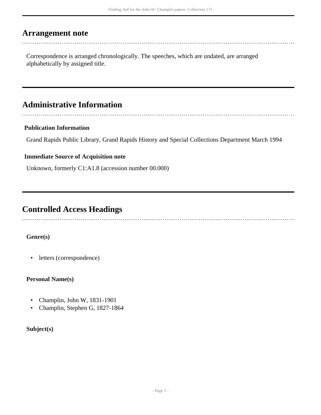## <span id="page-4-0"></span>**Arrangement note**

Correspondence is arranged chronologically. The speeches, which are undated, are arranged alphabetically by assigned title.

## <span id="page-4-1"></span>**Administrative Information**

#### **Publication Information**

Grand Rapids Public Library, Grand Rapids History and Special Collections Department March 1994

#### **Immediate Source of Acquisition note**

Unknown, formerly C1:A1.8 (accession number 00.000)

## <span id="page-4-2"></span>**Controlled Access Headings**

#### **Genre(s)**

• letters (correspondence)

#### **Personal Name(s)**

- Champlin, John W, 1831-1901
- Champlin, Stephen G, 1827-1864

#### **Subject(s)**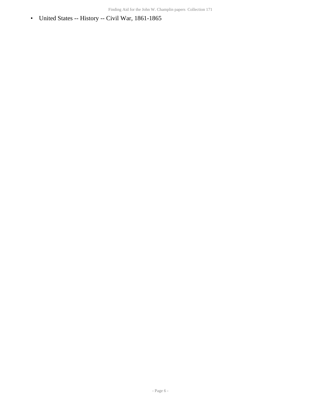• United States -- History -- Civil War, 1861-1865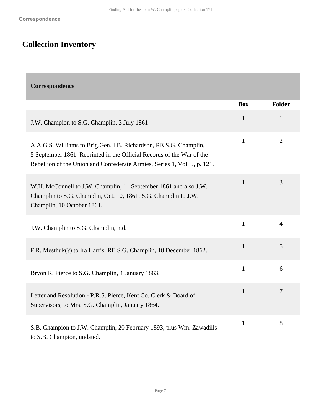# <span id="page-6-0"></span>**Collection Inventory**

<span id="page-6-1"></span>

| Correspondence                                                                                                                                                                                                         |              |                |
|------------------------------------------------------------------------------------------------------------------------------------------------------------------------------------------------------------------------|--------------|----------------|
|                                                                                                                                                                                                                        | <b>Box</b>   | Folder         |
| J.W. Champion to S.G. Champlin, 3 July 1861                                                                                                                                                                            | $\mathbf{1}$ | 1              |
| A.A.G.S. Williams to Brig.Gen. I.B. Richardson, RE S.G. Champlin,<br>5 September 1861. Reprinted in the Official Records of the War of the<br>Rebellion of the Union and Confederate Armies, Series 1, Vol. 5, p. 121. | $\mathbf{1}$ | $\overline{2}$ |
| W.H. McConnell to J.W. Champlin, 11 September 1861 and also J.W.<br>Champlin to S.G. Champlin, Oct. 10, 1861. S.G. Champlin to J.W.<br>Champlin, 10 October 1861.                                                      | $\mathbf{1}$ | 3              |
| J.W. Champlin to S.G. Champlin, n.d.                                                                                                                                                                                   | $\mathbf{1}$ | $\overline{4}$ |
| F.R. Mesthuk(?) to Ira Harris, RE S.G. Champlin, 18 December 1862.                                                                                                                                                     | $\mathbf{1}$ | 5              |
| Bryon R. Pierce to S.G. Champlin, 4 January 1863.                                                                                                                                                                      | $\mathbf{1}$ | 6              |
| Letter and Resolution - P.R.S. Pierce, Kent Co. Clerk & Board of<br>Supervisors, to Mrs. S.G. Champlin, January 1864.                                                                                                  | $\mathbf{1}$ | $\overline{7}$ |
| S.B. Champion to J.W. Champlin, 20 February 1893, plus Wm. Zawadills<br>to S.B. Champion, undated.                                                                                                                     | $\mathbf{1}$ | 8              |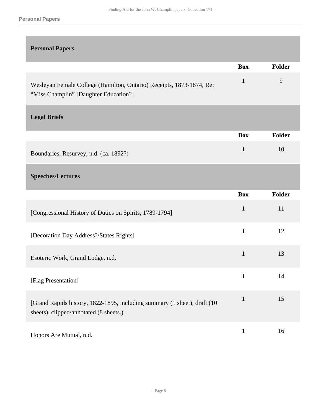#### **Personal Papers**

<span id="page-7-2"></span><span id="page-7-1"></span><span id="page-7-0"></span>

| <b>Personal Papers</b>                                                                                             |              |        |
|--------------------------------------------------------------------------------------------------------------------|--------------|--------|
|                                                                                                                    | <b>Box</b>   | Folder |
| Wesleyan Female College (Hamilton, Ontario) Receipts, 1873-1874, Re:<br>"Miss Champlin" [Daughter Education?]      | $\mathbf{1}$ | 9      |
| <b>Legal Briefs</b>                                                                                                |              |        |
|                                                                                                                    | <b>Box</b>   | Folder |
| Boundaries, Resurvey, n.d. (ca. 1892?)                                                                             | $\mathbf{1}$ | 10     |
| <b>Speeches/Lectures</b>                                                                                           |              |        |
|                                                                                                                    | <b>Box</b>   | Folder |
| [Congressional History of Duties on Spirits, 1789-1794]                                                            | $\mathbf{1}$ | 11     |
| [Decoration Day Address?/States Rights]                                                                            | $\mathbf{1}$ | 12     |
|                                                                                                                    | $\mathbf{1}$ | 13     |
| Esoteric Work, Grand Lodge, n.d.                                                                                   |              |        |
| [Flag Presentation]                                                                                                | $\mathbf{1}$ | 14     |
| [Grand Rapids history, 1822-1895, including summary (1 sheet), draft (10<br>sheets), clipped/annotated (8 sheets.) | $\mathbf{1}$ | 15     |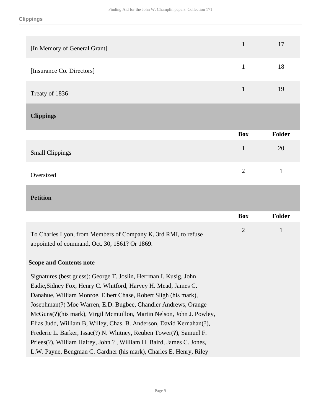<span id="page-8-0"></span>

| [In Memory of General Grant] | $\mathbf{1}$   | 17           |
|------------------------------|----------------|--------------|
| [Insurance Co. Directors]    | $\mathbf{1}$   | 18           |
| Treaty of 1836               | $\mathbf{1}$   | 19           |
| <b>Clippings</b>             |                |              |
|                              |                |              |
|                              | <b>Box</b>     | Folder       |
| <b>Small Clippings</b>       | $\mathbf{1}$   | 20           |
| Oversized                    | $\overline{2}$ | $\mathbf{1}$ |
| <b>Petition</b>              |                |              |

<span id="page-8-1"></span>To Charles Lyon, from Members of Company K, 3rd RMI, to refuse appointed of command, Oct. 30, 1861? Or 1869. 2 1

#### **Scope and Contents note**

Signatures (best guess): George T. Joslin, Herrman I. Kusig, John Eadie,Sidney Fox, Henry C. Whitford, Harvey H. Mead, James C. Danahue, William Monroe, Elbert Chase, Robert Sligh (his mark), Josephman(?) Moe Warren, E.D. Bugbee, Chandler Andrews, Orange McGuns(?)(his mark), Virgil Mcmuillon, Martin Nelson, John J. Powley, Elias Judd, William B, Willey, Chas. B. Anderson, David Kernahan(?), Frederic L. Barker, Issac(?) N. Whitney, Reuben Tower(?), Samuel F. Priees(?), William Halrey, John ? , William H. Baird, James C. Jones, L.W. Payne, Bengman C. Gardner (his mark), Charles E. Henry, Riley